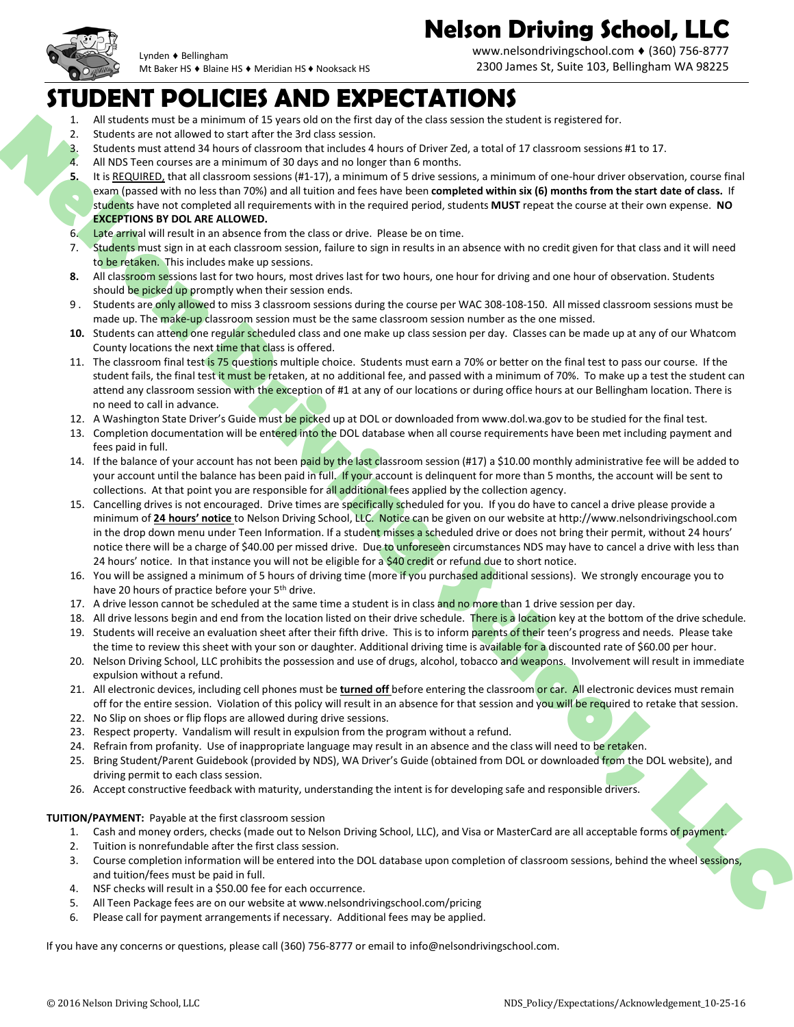

www.nelsondrivingschool.com ♦ (360) 756-8777 2300 James St, Suite 103, Bellingham WA 98225

#### **STUDENT POLICIES AND EXPECTATIONS**

Mt Baker HS ♦ Blaine HS ♦ Meridian HS ♦ Nooksack HS

- All students must be a minimum of 15 years old on the first day of the class session the student is registered for.
- 2. Students are not allowed to start after the 3rd class session.

Lynden ♦ Bellingham

- 3. Students must attend 34 hours of classroom that includes 4 hours of Driver Zed, a total of 17 classroom sessions #1 to 17.
- 4. All NDS Teen courses are a minimum of 30 days and no longer than 6 months.
- **5.** It is REQUIRED, that all classroom sessions (#1-17), a minimum of 5 drive sessions, a minimum of one-hour driver observation, course final exam (passed with no less than 70%) and all tuition and fees have been **completed within six (6) months from the start date of class.** If students have not completed all requirements with in the required period, students **MUST** repeat the course at their own expense. **NO EXCEPTIONS BY DOL ARE ALLOWED.**
- 6. Late arrival will result in an absence from the class or drive. Please be on time.
- 7. Students must sign in at each classroom session, failure to sign in results in an absence with no credit given for that class and it will need to be retaken. This includes make up sessions.
- 8. All classroom sessions last for two hours, most drives last for two hours, one hour for driving and one hour of observation. Students should be picked up promptly when their session ends.
- 9. Students are only allowed to miss 3 classroom sessions during the course per WAC 308-108-150. All missed classroom sessions must be made up. The make-up classroom session must be the same classroom session number as the one missed.
- 10. Students can attend one regular scheduled class and one make up class session per day. Classes can be made up at any of our Whatcom County locations the next time that class is offered.
- 11. The classroom final test is 75 questions multiple choice. Students must earn a 70% or better on the final test to pass our course. If the student fails, the final test it must be retaken, at no additional fee, and passed with a minimum of 70%. To make up a test the student can attend any classroom session with the exception of #1 at any of our locations or during office hours at our Bellingham location. There is no need to call in advance.
- 12. A Washington State Driver's Guide must be picked up at DOL or downloaded from www.dol.wa.gov to be studied for the final test.
- 13. Completion documentation will be entered into the DOL database when all course requirements have been met including payment and fees paid in full.
- 14. If the balance of your account has not been paid by the last classroom session (#17) a \$10.00 monthly administrative fee will be added to your account until the balance has been paid in full. If your account is delinguent for more than 5 months, the account will be sent to collections. At that point you are responsible for all additional fees applied by the collection agency.
- **Nelson Control 21 Solution** 2 Solution 2 Solution 2 Solution 2 Solution 2 Solution 2 Solution 2 Solution 2 Solution 2 Solution 2 Solution 2 Solution 2 Solution 2 Solution 2 Solution 2 Solution 2 Solution 2 Solution 2 Sol 15. Cancelling drives is not encouraged. Drive times are specifically scheduled for you. If you do have to cancel a drive please provide a minimum of **24 hours' notice** to Nelson Driving School, LLC. Notice can be given on our website at http://www.nelsondrivingschool.com in the drop down menu under Teen Information. If a student misses a scheduled drive or does not bring their permit, without 24 hours' notice there will be a charge of \$40.00 per missed drive. Due to unforeseen circumstances NDS may have to cancel a drive with less than 24 hours' notice. In that instance you will not be eligible for a \$40 credit or refund due to short notice.
	- 16. You will be assigned a minimum of 5 hours of driving time (more if you purchased additional sessions). We strongly encourage you to have 20 hours of practice before your 5<sup>th</sup> drive.
	- 17. A drive lesson cannot be scheduled at the same time a student is in class and no more than 1 drive session per day.
	- 18. All drive lessons begin and end from the location listed on their drive schedule. There is a location key at the bottom of the drive schedule.
	- 19. Students will receive an evaluation sheet after their fifth drive. This is to inform parents of their teen's progress and needs. Please take the time to review this sheet with your son or daughter. Additional driving time is available for a discounted rate of \$60.00 per hour.
	- 20. Nelson Driving School, LLC prohibits the possession and use of drugs, alcohol, tobacco and weapons. Involvement will result in immediate expulsion without a refund.
	- 21. All electronic devices, including cell phones must be **turned off** before entering the classroom or car. All electronic devices must remain off for the entire session. Violation of this policy will result in an absence for that session and you will be required to retake that session.
	- 22. No Slip on shoes or flip flops are allowed during drive sessions.
	- 23. Respect property. Vandalism will result in expulsion from the program without a refund.
	- 24. Refrain from profanity. Use of inappropriate language may result in an absence and the class will need to be retaken.
	- 25. Bring Student/Parent Guidebook (provided by NDS), WA Driver's Guide (obtained from DOL or downloaded from the DOL website), and driving permit to each class session.
	- 26. Accept constructive feedback with maturity, understanding the intent isfor developing safe and responsible drivers.

#### **TUITION/PAYMENT:** Payable at the first classroom session

- 1. Cash and money orders, checks (made out to Nelson Driving School, LLC), and Visa or MasterCard are all acceptable forms of payment.
- 2. Tuition is nonrefundable after the first class session.
- 3. Course completion information will be entered into the DOL database upon completion of classroom sessions, behind the wheel sessions, and tuition/fees must be paid in full.
- 4. NSF checks will result in a \$50.00 fee for each occurrence.
- 5. All Teen Package fees are on our website at www.nelsondrivingschool.com/pricing
- 6. Please call for payment arrangements if necessary. Additional fees may be applied.

If you have any concerns or questions, please call (360) 756-8777 or email to [info@nelsondrivingschool.com.](mailto:info@nelsondrivingschool.com)